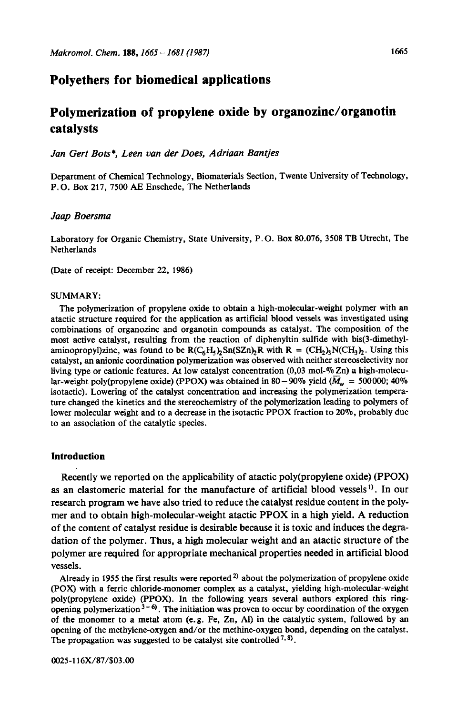# **Polyethers for biomedical applications**

# **Polymerization of propylene oxide by organozinc/organotin catalysts**

*Jan Gert Bets\*, Leen van der Does, Adriaan Bantjes* 

Department of Chemical Technology, Biomaterials Section, Twente University of Technology, **P.** 0. Box **217, 7500** *AE* Enschede, The Netherlands

#### *Jaap Boersma*

Laboratory for Organic Chemistry, State University, **P.** 0. Box **80.076,** 3508 TB Utrecht, The Netherlands

(Date of receipt: December **22, 1986)** 

#### SUMMARY:

The polymerization of propylene oxide to obtain a high-molecular-weight polymer with an atactic structure required for the application **as** artificial blood vessels was investigated using combinations of organozinc and organotin compounds **as** catalyst. The composition of the most active catalyst, resulting from the reaction of diphenyltin sulfide with bis(3-dimethylaminopropyl)zinc, was found to be  $R(C_6H_5)_2Sn(SZn)_2R$  with  $R = (CH_2)_3N(CH_3)_2$ . Using this catalyst, an anionic coordination polymerization was observed with neither stereoselectivity nor living type or cationic features. At low catalyst concentration (0,03 mol-% Zn) a high-molecular-weight poly(propylene oxide) (PPOX) was obtained in 80 - 90% yield  $(\overline{M}_{w} = 500000; 40\%$ isotactic). Lowering of the catalyst concentration and increasing the polymerization temperature changed the kinetics and the stereochemistry of the polymerization leading to polymers of lower molecular weight and to a decrease in the isotactic **PPOX** fraction to **20%,** probably due to an association of the catalytic species.

### **Introduction**

Recently we reported on the applicability of atactic poly(propylene oxide) (PPOX) **as** an elastomeric material for the manufacture of artificial blood vessels'). In our research program we have also tried to reduce the catalyst residue content in the polymer and to obtain high-molecular-weight atactic **PPOX** in a high yield. A reduction of the content of catalyst residue is desirable because it is toxic and induces the degradation of the polymer. Thus, a high molecular weight and an atactic structure of the polymer are required for appropriate mechanical properties needed in artificial blood vessels.

Already in 1955 the first results were reported<sup>2)</sup> about the polymerization of propylene oxide **(POX)** with a ferric chloride-monomer complex **as** a catalyst, yielding high-molecular-weight poly(propy1ene oxide) **(PPOX). In** the following years several authors explored this ringopening polymerization  $3-6$ . The initiation was proven to occur by coordination of the oxygen of the monomer to a metal atom (e.g. Fe, Zn, *Al)* in the catalytic system, followed by an opening of the methylene-oxygen and/or the methine-oxygen bond, depending **on** the catalyst. The propagation was suggested to be catalyst site controlled<sup>7,8)</sup>.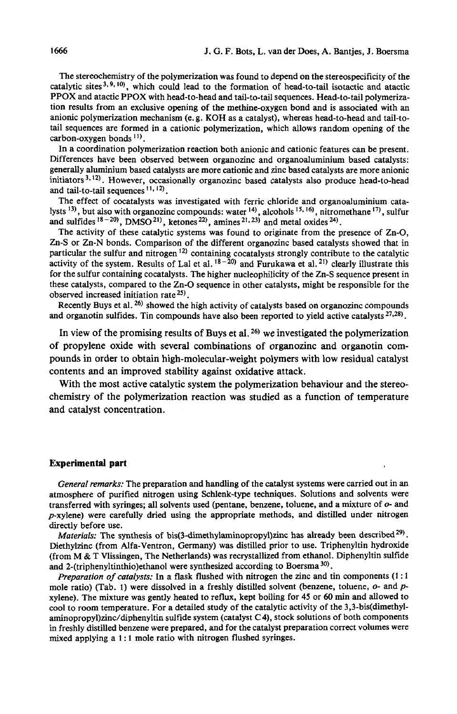The stereochemistry of the polymerization was found to depend on the stereospecificity of the catalytic sites<sup>3,9,10</sup>, which could lead to the formation of head-to-tail isotactic and atactic **PPOX** and atactic **PPOX** with head-to-head and tail-to-tail sequences. Head-to-tail polymeriza**tion** results from an exclusive opening of the methine-oxygen bond and is associated with an anionic polymerization mechanism (e. g. KOH as a catalyst), whereas head-to-head and tail-totail sequences are formed in a cationic polymerization, which allows random opening of the carbon-oxygen bonds **II).** 

In a coordination polymerization reaction both anionic and cationic features *can* be present. Differences have been observed between organozinc and organoaluminium based catalysts: generally aluminium based catalysts are more cationic and zinc based catalysts are more anionic initiators<sup>3,12)</sup>. However, occasionally organozinc based catalysts also produce head-to-head and tail-to-tail sequences **11,** Iz).

The effect of cocatalysts was investigated with ferric chloride and organoaluminium catalysts **13),** but also with organozinc compounds: water **14),** alcohols **15\* 16),** nitromethane **17),** sulfur and sulfides  $18-20$ , DMSO  $21$ , ketones  $22$ , amines  $21,23$  and metal oxides  $24$ .

The activity of these catalytic systems was found to originate from the presence of **Zn-0,**  Zn-S **or Zn-N** bonds. Comparison of the different organozinc based catalysts showed that in particular the sulfur and nitrogen  $12$ ) containing cocatalysts strongly contribute to the catalytic activity of the system. Results of Lal et al.  $18-20$  and Furukawa et al.  $21$ ) clearly illustrate this for the sulfur containing cocatalysts. The higher nucleophilicity of the Zn-S sequence present in these catalysts, compared to the **Zn-0** sequence in other catalysts, might be responsible for the observed increased initiation rate  $25$ .

Recently Buys et al. *26)* showed the high activity of catalysts based **on** organozinc compounds and organotin sulfides. Tin compounds have also been reported to yield active catalysts  $27,28$ ).

In view of the promising results of Buys et al. **26)** we investigated the polymerization of propylene oxide with several combinations of organozinc and organotin compounds in order to obtain high-molecular-weight polymers with low residual catalyst contents and an improved stability against oxidative attack.

With the most active catalytic system the polymerization behaviour and the stereochemistry of the polymerization reaction was studied as a function of temperature and catalyst concentration.

### **Experimental part**

*General remarks:* The preparation and handling of the catalyst systems were carried out in an atmosphere of purified nitrogen using Schlenk-type techniques. Solutions and solvents were transferred with syringes; all solvents used (pentane, benzene, toluene, and a mixture of *0-* and  $p$ -xylene) were carefully dried using the appropriate methods, and distilled under nitrogen

directly before use.<br>Materials: The synthesis of bis(3-dimethylaminopropyl)zinc has already been described<sup>29)</sup>. Diethylzinc (from Alfa-Ventron, Germany) was distilled prior to use. Triphenyltin hydroxide (from M & T Vlissingen, The Netherlands) was recrystallized from ethanol. Diphenyltin sulfide and **2-(tripheny1tinthio)ethanol** were synthesized according to Boersma *30).* 

*Preparation of catalysts:* In a flask flushed with nitrogen the zinc and tin components (1 : <sup>1</sup> mole ratio) (Tab. 1) were dissolved in a freshly distilled solvent (benzene, toluene, *0-* and *p*xylene). The mixture was gently heated to reflux, kept boiling for **45 or** *60* min and allowed to cool to room temperature. For a detailed study of the catalytic activity of the 3,3-bis(dimethyl**aminopropyl)zinc/diphenyltin** sulfide system (catalyst C **4),** stock solutions of both components in freshly distilled benzene were prepared, and for the catalyst preparation correct volumes were mixed applying a 1 : 1 mole ratio with nitrogen flushed syringes.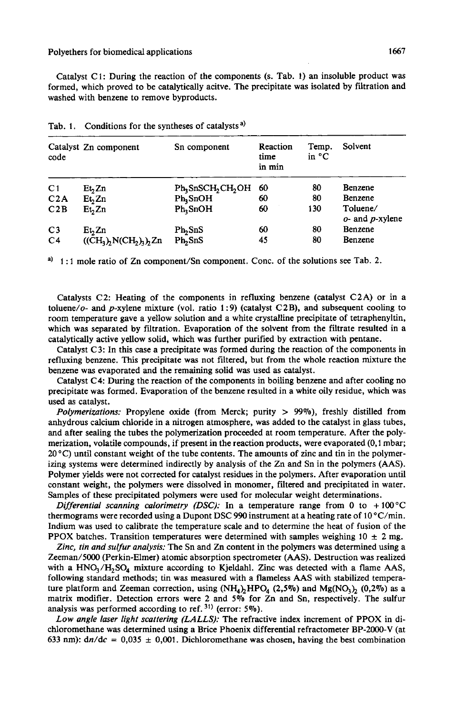Catalyst C 1: During the reaction of the components (s. Tab. **1)** an insoluble product was formed, which proved to be catalytically acitve. The precipitate was isolated by filtration and washed with benzene to remove byproducts.

| code           | Catalyst Zn component  | Sn component         | Reaction<br>time<br>in min | Temp.<br>in $^{\circ}$ C | Solvent                           |
|----------------|------------------------|----------------------|----------------------------|--------------------------|-----------------------------------|
| C <sub>1</sub> | Et <sub>2</sub>        | $Ph_3SnSCH_2CH_2OH$  | 60                         | 80                       | <b>Benzene</b>                    |
| C2A            | Et <sub>2</sub> Zn     | $Ph_3SnOH$           | 60                         | 80                       | Benzene                           |
| C2B            | Et <sub>2</sub> Zn     | Ph <sub>2</sub> SnOH | 60                         | 130                      | Toluene/<br>$o$ - and $p$ -xylene |
| C <sub>3</sub> | Et <sub>2</sub>        | Ph, SnS              | 60                         | 80                       | Benzene                           |
| C <sub>4</sub> | $((CH3), N(CH2)3), Zn$ | Ph <sub>5</sub> nS   | 45                         | 80                       | Benzene                           |

Tab. 1. Conditions for the syntheses of catalysts<sup>a)</sup>

 $a)$  1:1 mole ratio of Zn component/Sn component. Conc. of the solutions see Tab. 2.

Catalysts C2: Heating of the components in refluxing benzene (catalyst C2A) or in a toluene/o- and p-xylene mixture (vol. ratio  $1:9$ ) (catalyst C2B), and subsequent cooling to room temperature gave a yellow solution and a white crystalline precipitate of tetraphenyltin, which was separated by filtration. Evaporation of the solvent from the filtrate resulted in a catalytically active yellow solid, which was further purified by extraction with pentane.

Catalyst C3: In this case a precipitate was formed during the reaction of the components in refluxing benzene. This precipitate was not filtered, but from the whole reaction mixture the benzene was evaporated and the remaining solid was used as catalyst.

Catalyst **C4:** During the reaction of the components in boiling benzene and after cooling **no**  precipitate was formed. Evaporation of the benzene resulted in a white oily residue, which was used **as** catalyst.

*Polymerizations:* Propylene oxide (from Merck; purity > *99%),* freshly distilled from anhydrous calcium chloride in a nitrogen atmosphere, was added to the catalyst in glass tubes, and after sealing the tubes the polymerization proceeded at room temperature. After the polymerization, volatile compounds, if present in the reaction products, were evaporated **(0,l** mbar;  $20^{\circ}$ C) until constant weight of the tube contents. The amounts of zinc and tin in the polymerizing systems were determined indirectly by analysis of the Zn and **Sn** in the polymers **(AAS).**  Polymer yields were not corrected for catalyst residues in the polymers. After evaporation until constant weight, the polymers were dissolved in monomer, filtered and precipitated in water. Samples of these precipitated polymers were used for molecular weight determinations.

*Differential scanning calorimetry (DSC):* In a temperature range from 0 to  $+100^{\circ}$ C thermograms were recorded using a Dupont DSC 990 instrument at a heating rate of  $10^{\circ}$ C/min. Indium was used to calibrate the temperature scale and to determine the heat of fusion of the PPOX batches. Transition temperatures were determined with samples weighing  $10 \pm 2$  mg.

*Zinc, tin and sulfur analysis:* The **Sn** and Zn content in the polymers was determined using a Zeeman/5000 (Perkin-Elmer) atomic absorption spectrometer (AAS). Destruction was realized with a  $HNO<sub>3</sub>/H<sub>2</sub>SO<sub>4</sub>$  mixture according to Kjeldahl. Zinc was detected with a flame AAS, following standard methods; **tin** was measured with a flameless AAS with stabilized temperature platform and Zeeman correction, using  $(NH_4)_2HPO_4$  (2,5%) and Mg(NO<sub>3</sub>)<sub>2</sub> (0,2%) as a matrix modifier. Detection errors were 2 and *5%* for Zn and **Sn,** respectively. The sulfur analysis was performed according to ref. **31)** (error: *5%).* 

Low *angle laser light scattering (LALLS):* The refractive index increment of PPOX in dichloromethane was determined using a Brice Phoenix differential refractometer BP-2000-V (at 633 nm):  $\frac{dn}{dc} = 0.035 \pm 0.001$ . Dichloromethane was chosen, having the best combination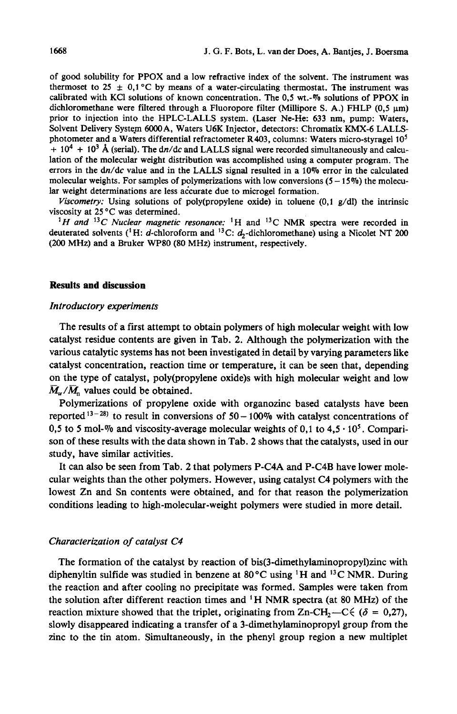of *good* solubility for PPOX and a low refractive index of the solvent. The instrument was thermoset to  $25 \pm 0.1$  °C by means of a water-circulating thermostat. The instrument was calibrated with KCI solutions of known concentration. The **0,5 wt.-%** solutions of PPOX in dichloromethane were filtered through a Fluoropore filter (Millipore S. A.) FHLP  $(0.5 \text{ nm})$ prior to injection into the HPLC-LALLS system. (Laser Ne-He: 633 nm, pump: Waters, Solvent Delivery System 6000 A. Waters U6K Injector, detectors: Chromatix KMX-6 LALLSphotometer and a Waters differential refractometer R403, columns: Waters micro-styragel **lo5**   $+ 10<sup>4</sup> + 10<sup>3</sup>$  Å (serial). The dn/dc and LALLS signal were recorded simultaneously and calculation of the molecular weight distribution was accomplished using a computer program. The errors in the dn/dc value and in the LALLS signal resulted in a **10%** error in the calculated molecular weights. For samples of polymerizations with low conversions  $(5 - 15\%)$  the molecu**lar** weight determinations are less accurate due to microgel formation.

*Viscometry:* Using solutions of poly(propylene oxide) in toluene (0,1 g/dl) the intrinsic viscosity at **25** *"C* was determined.

<sup>1</sup>H and <sup>13</sup>C Nuclear magnetic resonance: <sup>1</sup>H and <sup>13</sup>C NMR spectra were recorded in deuterated solvents (<sup>1</sup>H: d-chloroform and <sup>13</sup>C:  $d_2$ -dichloromethane) using a Nicolet NT 200 *(200* MHz) and a Bruker **WP80** (80 MHz) instrument, respectively.

#### **Results and discussion**

#### *Introductory experiments*

The results of a first attempt to obtain polymers of high molecular weight with low catalyst residue contents are given in Tab. 2. Although the polymerization with the various catalytic systems has not been investigated in detail by varying parameters like catalyst concentration, reaction time or temperature, it can be seen that, depending on the type of catalyst, poly(propy1ene oxide)s with high molecular weight and low  $\overline{M}_{w}/\overline{M}_{n}$  values could be obtained.

Polymerizations of propylene oxide with organozinc based catalysts have been reported<sup>13-28)</sup> to result in conversions of  $50 - 100\%$  with catalyst concentrations of 0,5 to 5 mol-% and viscosity-average molecular weights of 0,1 to  $4.5 \cdot 10^5$ . Comparison of these results with the data shown in Tab. **2** shows that the catalysts, used in our study, have similar activities.

It can also be seen from Tab. 2 that polymers P-C4A and P-C4B have lower molecular weights than the other polymers. However, using catalyst C4 polymers with the lowest Zn and Sn contents were obtained, and for that reason the polymerization conditions leading to high-molecular-weight polymers were studied in more detail.

### *Characterization of catahst C4*

The formation of the catalyst by reaction of **bis(3-dimethylaminopropy1)zinc** with diphenyltin sulfide was studied in benzene at  $80^{\circ}$ C using <sup>1</sup>H and <sup>13</sup>C NMR. During the reaction and after cooling no precipitate was formed. Samples were taken from the solution after different reaction times and  ${}^{1}$ H NMR spectra (at 80 MHz) of the reaction mixture showed that the triplet, originating from Zn-CH<sub>2</sub>—C $\leq (\delta = 0.27)$ , slowly disappeared indicating a transfer of a 3-dimethylaminopropyl group from the zinc to the tin atom. Simultaneously, in the phenyl group region a new multiplet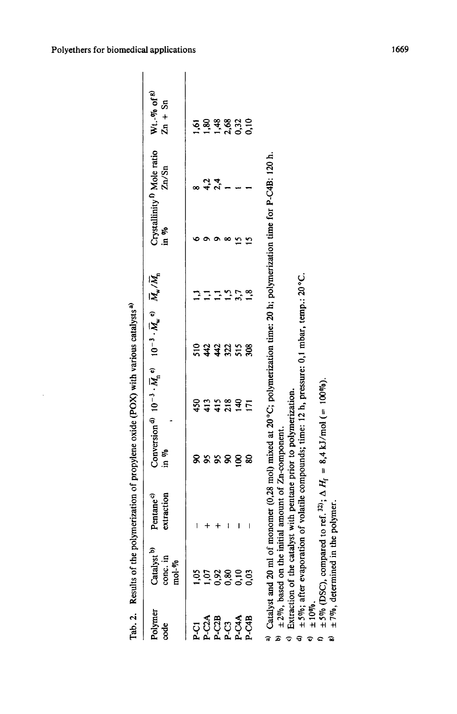| Polymer<br>code                | Catalyst <sup>b)</sup><br>conc. in<br>mol- $\varphi_0$ | Pentane <sup>c)</sup><br>xtraction | in %                                                                                                             |                | Conversion <sup>d</sup> $10^{-3} \cdot \overline{M}_n$ <sup>e</sup> $10^{-3} \cdot \overline{M}_w$ <sup>o</sup> $\overline{M}_w / \overline{M}_n$ |     | Crystallinity <sup>f)</sup> Mole ratio<br>in $\%$<br>Zn/Sn | $Wt. - v_0$ of <sup>g)</sup><br>$Zn + Sn$ |
|--------------------------------|--------------------------------------------------------|------------------------------------|------------------------------------------------------------------------------------------------------------------|----------------|---------------------------------------------------------------------------------------------------------------------------------------------------|-----|------------------------------------------------------------|-------------------------------------------|
|                                |                                                        |                                    |                                                                                                                  |                |                                                                                                                                                   |     |                                                            |                                           |
| ភ្លូង<br>ភ្លឺប្តី<br>ត្តិក្នុង |                                                        |                                    | 8888                                                                                                             | 80288<br>80288 | <b>saasse</b>                                                                                                                                     |     |                                                            | 5833825<br>5838825                        |
|                                |                                                        |                                    |                                                                                                                  |                |                                                                                                                                                   |     | $4, 2, 4$<br>2,4                                           |                                           |
|                                |                                                        |                                    |                                                                                                                  |                |                                                                                                                                                   |     |                                                            |                                           |
|                                |                                                        | ı                                  | $\overline{\mathbf{g}}$                                                                                          |                |                                                                                                                                                   | 3,7 |                                                            |                                           |
|                                | <b>358898</b><br>FF6666                                |                                    | ౚ                                                                                                                | $\overline{5}$ |                                                                                                                                                   |     |                                                            |                                           |
|                                |                                                        |                                    | a) Ortelling on a 20 mil of moment O. 20 miles det 2007: miles alimetica time: 20 h. nolimeticat inte des D. C1B |                |                                                                                                                                                   |     |                                                            |                                           |

Results of the polymerization of propylene oxide (POX) with various catalysts<sup>a)</sup> Tab. 2. Results of the polymerization of propylene oxide (POX) with various catalysts') Tab. 2.

**a)** Catalyst and 20 ml of monomer (0,28 mol) mixed at 20°C; polymerization time: 20 h; polymerization time for P-C4B: 120 h. Catalyst and 20 ml of monomer (0,28 mol) mixed at 20 °C; polymerization time: 20 h; polymerization time for P-C4B: 120 h.  $\pm 2\%$ , based on the initial amount of Zn-component.  $b_0$   $\pm 2\%$ , based on the initial amount of Zn-component.

 $\degree$  Extraction of the catalyst with pentane prior to polymerization. Extraction of the catalyst with pentane prior to polymerization.

**d,** *\*5%;* after evaporation of volatile compounds; time: 12 h, pressure: 0,l mbar, temp.: 20°C.  $\pm 5\%$ ; after evaporation of volatile compounds; time: 12 h, pressure: 0,1 mbar, temp.: 20°C.

a

<sup>9</sup> Extraction of the catalyst with pentane prior to polymerization.<br>  $\theta$  ± 5%; after evaporation of volatile compounds; time: 12 h, pressure  $\theta$  ± 10%.<br>  $\theta$  ± 5% (DSC), compared to ref. <sup>32</sup>;  $\Delta H_f = 8,4$  kJ/mol (= 100 **f**  $f$   $(DSC)$ , compared to ref. <sup>32</sup>;  $\Delta H_f = 8,4$  kJ/mol (= 100%).

 $±7%$ , determined in the polymer.  $\mathbf{F}^{\mathbf{y}}$   $\pm$  7%, determined in the polymer.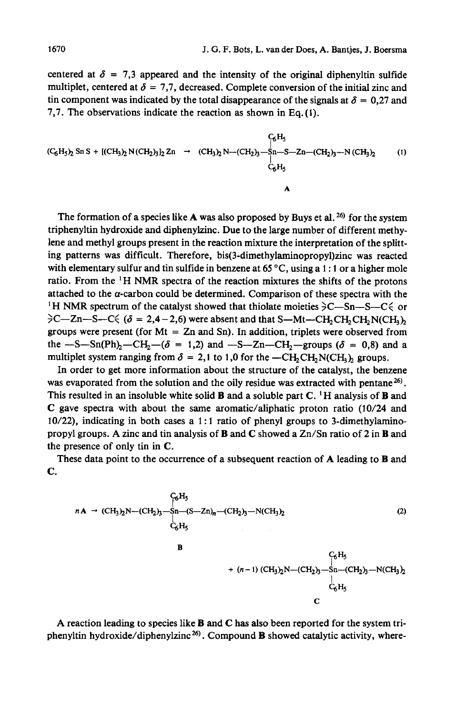centered at  $\delta = 7.3$  appeared and the intensity of the original diphenyltin sulfide multiplet, centered at  $\delta = 7.7$ , decreased. Complete conversion of the initial zinc and tin component was indicated by the total disappearance of the signals at  $\delta = 0.27$  and **7,7.** The observations indicate the reaction **as** shown in Eq.(l).

$$
(C_6H_5)_2 \text{ Sn S} + [(CH_3)_2 N(CH_2)_3]_2 Zn \rightarrow (CH_3)_2 N - (CH_2)_3 - Sn - S - Zn - (CH_2)_3 - N (CH_3)_2
$$
 (1)  
\n
$$
C_6H_5
$$
\n
$$
C_6H_5
$$

The formation of a species like  $A$  was also proposed by Buys et al.  $^{26}$  for the system triphenyltin hydroxide and diphenylzinc. Due to the large number of different methylene and methyl groups present in the reaction mixture the interpretation of the splitting patterns was difficult. Therefore, **bis(3-dimethylaminopropy1)zinc** was reacted with elementary sulfur and tin sulfide in benzene at 65 °C, using a 1:1 or a higher mole ratio. From the 'H NMR spectra of the reaction mixtures the shifts of the protons attached to the  $\alpha$ -carbon could be determined. Comparison of these spectra with the <sup>1</sup>H NMR spectrum of the catalyst showed that thiolate moieties  $\geq$ C-Sn-S-C $\leq$  or  $\geq$ C-Zn-S-C $\leq$  ( $\delta$  = 2,4-2,6) were absent and that S-Mt-CH<sub>2</sub>CH<sub>2</sub>CH<sub>2</sub>N(CH<sub>3</sub>)<sub>2</sub> groups were present (for  $Mt = Zn$  and Sn). In addition, triplets were observed from the  $-S-Sn(Ph)_{2}-CH_{2}-(\delta = 1,2)$  and  $-S-Zn-CH_{2}-groups$  ( $\delta = 0,8$ ) and a multiplet system ranging from  $\delta = 2.1$  to 1,0 for the  $-\text{CH}_2\text{CH}_2\text{N}(\text{CH}_3)$  groups.

In order to get more information about the structure of the catalyst, the benzene was evaporated from the solution and the oily residue was extracted with pentane<sup>26</sup>. This resulted in an insoluble white solid B and a soluble part **C. 'H** analysis of B and **C** gave spectra with about the same aromatic/aliphatic proton ratio **(10/24** and **10/22),** indicating in both cases a 1 : **1** ratio of phenyl groups to 3-dimethylaminopropyl groups. A zinc and tin analysis of **B** and **C** showed a Zn/Sn ratio of **2** in B and the presence of only tin in **C.** 

These data point to the occurrence of a subsequent reaction of A leading to **B** and **C.** 

$$
nA \rightarrow (CH_3)_2N-(CH_2)_3-Sn-(S-Zn)_n-(CH_2)_3-N(CH_3)_2
$$
\n
$$
C_6H_5
$$
\n
$$
B
$$
\n
$$
+(n-1) (CH_3)_2N-(CH_2)_3-Sn-(CH_2)_3-N(CH_3)_2
$$
\n
$$
C_6H_5
$$
\n
$$
C
$$
\nC

A reaction leading to species like B and *C* has **also** been reported for the system triphenyltin hydroxide/diphenylzinc<sup>26)</sup>. Compound **B** showed catalytic activity, where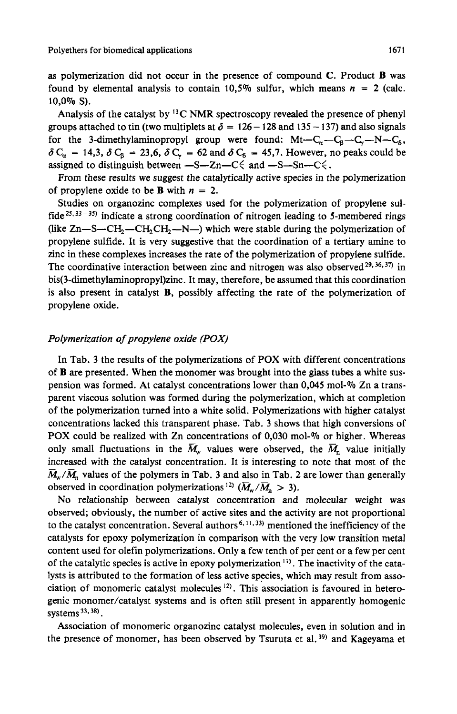**as** polymerization did not occur in the presence of compound **C.** Product **B** was found by elemental analysis to contain 10,5% sulfur, which means  $n = 2$  (calc. 10,0% *S).* 

Analysis of the catalyst by  ${}^{13}$ C NMR spectroscopy revealed the presence of phenyl groups attached to tin (two multiplets at  $\delta = 126 - 128$  and  $135 - 137$ ) and also signals for the 3-dimethylaminopropyl group were found:  $Mt-C_{\alpha}-C_{\beta}-C_{\gamma}-N-C_{\delta}$ ,  $\delta C_{\alpha}$  = 14,3,  $\delta C_{\beta}$  = 23,6,  $\delta C_{\gamma}$  = 62 and  $\delta C_{\delta}$  = 45,7. However, no peaks could be assigned to distinguish between  $-S-Zn-C \le$  and  $-S-Sn-C \le$ .

From these results we suggest the catalytically active species in the polymerization of propylene oxide to be **B** with *n* = 2.

Studies on organozinc complexes used for the polymerization of propylene sulfide<sup>25, 33-35)</sup> indicate a strong coordination of nitrogen leading to 5-membered rings (like  $Zn-S-CH_2-CH_2CH_2-N-$ ) which were stable during the polymerization of propylene sulfide. It is very suggestive that the coordination of a tertiary amine to zinc in these complexes increases the rate of the polymerization of propylene sulfide. The coordinative interaction between zinc and nitrogen was also observed  $29, 36, 37$  in **bis(3-dimethy1aminopropyl)zinc.** It may, therefore, be assumed that this coordination is also present in catalyst **B,** possibly affecting the rate of the polymerization of propylene oxide.

### *Polymerization of propylene oxide (POX)*

In Tab. 3 the results of the polymerizations of POX with different concentrations of **B** are presented. When the monomer was brought into the glass tubes a white suspension was formed. At catalyst concentrations lower than  $0.045$  mol- $\%$  Zn a transparent viscous solution was formed during the polymerization, which at completion of the polymerization turned into a white solid. Polymerizations with higher catalyst concentrations lacked this transparent phase. Tab. **3** shows that high conversions of POX could be realized with Zn concentrations of 0,030 mol-% or higher. Whereas only small fluctuations in the  $\overline{M}_{w}$  values were observed, the  $\overline{M}_{n}$  value initially increased with the catalyst concentration. It is interesting to note that most of the  $\overline{M}_{w}/\overline{M}_{n}$  values of the polymers in Tab. 3 and also in Tab. 2 are lower than generally observed in coordination polymerizations<sup>12)</sup>  $(\overline{M}_{w}/\overline{M}_{n} > 3)$ .

No relationship between catalyst concentration and molecular weight was observed; obviously, the number of active sites and the activity are not proportional to the catalyst concentration. Several authors<sup>6, 11, 33)</sup> mentioned the inefficiency of the catalysts for epoxy polymerization in comparison with the very low transition metal content used for olefin polymerizations. Only a few tenth of per cent or a few per cent of the catalytic species is active in epoxy polymerization  $\binom{1}{1}$ . The inactivity of the catalysts is attributed to the formation of less active species, which may result from association of monomeric catalyst molecules  $(2)$ . This association is favoured in heterogenic monomer/catalyst systems and is often still present in apparently homogenic systems<sup>33,38)</sup>.

Association of monomeric organozinc catalyst molecules, even in solution and in the presence of monomer, has been observed by Tsuruta et al. **39)** and Kageyama et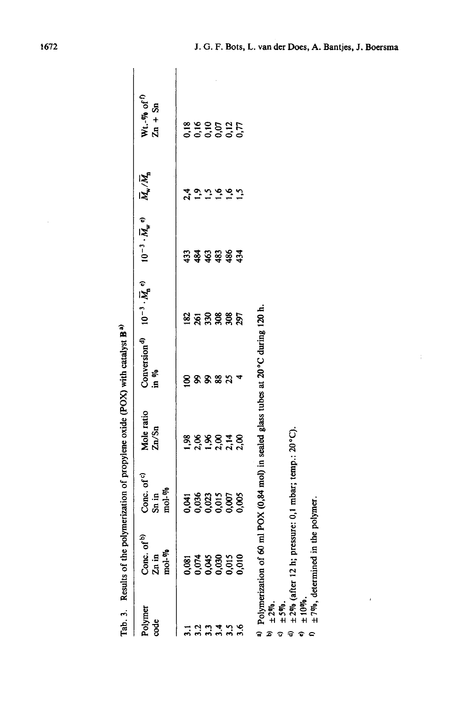|                                   | Tab. 3. Results of the polymerization of propylene oxide (POX) with catalyst B <sup>a)</sup>                                                                                                         |                                                               |                     |                     |              |                                                                                                                                                                         |                                  |                                         |  |
|-----------------------------------|------------------------------------------------------------------------------------------------------------------------------------------------------------------------------------------------------|---------------------------------------------------------------|---------------------|---------------------|--------------|-------------------------------------------------------------------------------------------------------------------------------------------------------------------------|----------------------------------|-----------------------------------------|--|
| Polymer<br>ge                     | Conc. of <sup>b)</sup><br>$Zn$ in<br>mol- $\%$                                                                                                                                                       | Conc. of <sup>c)</sup><br>$\sin \text{in}$<br>$\text{mod-}\%$ | Mole ratio<br>Zn/Sn | in $\mathfrak{N}_0$ |              | Conversion <sup>d</sup> $10^{-3} \cdot \overline{M}_{\rm n}$ <sup>e</sup> $10^{-3} \cdot \overline{M}_{\rm w}$ <sup>e</sup> $\overline{M}_{\rm w}/\overline{M}_{\rm n}$ |                                  | $Wt.-\%$ of <sup>f</sup> )<br>$Zn + Sn$ |  |
| $\overline{3}$ .                  |                                                                                                                                                                                                      |                                                               |                     |                     | 182          |                                                                                                                                                                         |                                  |                                         |  |
| 3.2<br>3.3                        | 081<br>0.074<br>0.030<br>0.000                                                                                                                                                                       | 418683888                                                     | 5.88878<br>5.88978  | ଛ                   | ន្តន្តន្តន្ត | <b>\$\$\$</b>                                                                                                                                                           | $\ddot{\phantom{0}}$<br><u>ي</u> | 8 9 9 5 1 5<br>6 6 6 6 6<br>6 6 6 6 6   |  |
| 3.4                               |                                                                                                                                                                                                      |                                                               |                     | 88                  |              |                                                                                                                                                                         | $\tilde{\mathbf{S}}$             |                                         |  |
| 3.5                               |                                                                                                                                                                                                      |                                                               |                     | 25                  |              | \$34                                                                                                                                                                    | $\tilde{e}$                      |                                         |  |
|                                   |                                                                                                                                                                                                      |                                                               |                     |                     |              |                                                                                                                                                                         |                                  |                                         |  |
| ±10%<br>$± 2%$ .<br>$± 5%$ .<br>ಾ | <sup>a)</sup> Polymerization of 60 ml POX (0,84 mol) in sealed glass tubes at 20°C during 120 h.<br>$\pm 2\%$ (after 12 h; pressure: 0,1 mbar; temp.: 20°C).<br>$\pm$ 7%, determined in the polymer. |                                                               |                     |                     |              |                                                                                                                                                                         |                                  |                                         |  |

 $\epsilon$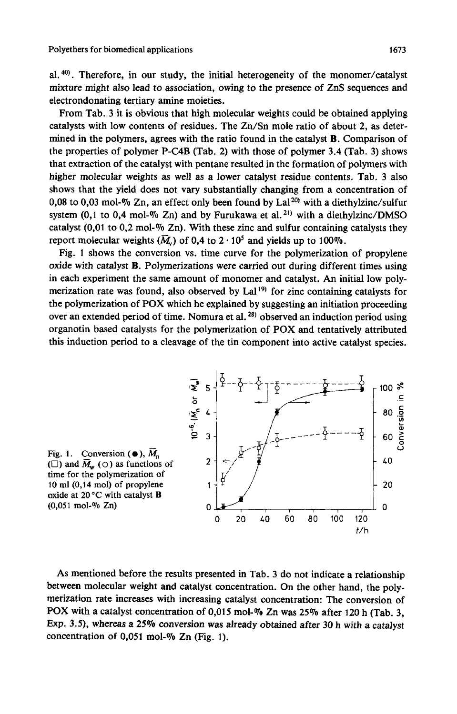al.  $40$ . Therefore, in our study, the initial heterogeneity of the monomer/catalyst mixture might also lead to association, owing to the presence of ZnS sequences and electrondonating tertiary mine moieties.

From Tab. 3 it is obvious that high molecular weights could be obtained applying catalysts with low contents of residues. The Zn/Sn mole ratio of about **2, as** determined in the polymers, agrees with the ratio found in the catalyst B. Comparison of the properties of polymer P-C4B (Tab. **2)** with those of polymer 3.4 (Tab. 3) shows that extraction of the catalyst with pentane resulted in the formation of polymers with higher molecular weights **as** well as a lower catalyst residue contents. Tab. **3** also shows that the yield does not vary substantially changing from a concentration of 0,08 to  $0.03$  mol- $\%$  Zn, an effect only been found by Lal<sup>20)</sup> with a diethylzinc/sulfur system (0,1 to 0,4 mol-% Zn) and by Furukawa et al.<sup>21)</sup> with a diethylzinc/DMSO catalyst  $(0,01 \text{ to } 0,2 \text{ mol-}\%$  Zn). With these zinc and sulfur containing catalysts they report molecular weights  $(\overline{M})$  of 0,4 to 2  $\cdot$  10<sup>5</sup> and yields up to 100%.

Fig. 1 shows the conversion vs. time curve for the polymerization of propylene oxide with catalyst B. Polymerizations were carried out during different times using in each experiment the same amount of monomer and catalyst. An initial low polymerization rate was found, also observed by Lal<sup>19)</sup> for zinc containing catalysts for the polymerization of **POX** which he explained by suggesting an initiation proceeding over an extended period of time. Nomura et al. **28)** observed an induction period using organotin based catalysts for the polymerization of **POX** and tentatively attributed this induction period to a cleavage of the tin component into active catalyst species.





As mentioned before the results presented in Tab. **3** do not indicate a relationship between molecular weight and catalyst concentration. On the other hand, the polymerization rate increases with increasing catalyst concentration: The conversion of POX with a catalyst concentration of **0,015** mol-% Zn was **25%** after **120** h (Tab. **3,**  Exp. **3.9,** whereas a **25%** conversion was already obtained after 30 h with a catalyst concentration of **0,051** mol-Vo Zn (Fig. 1).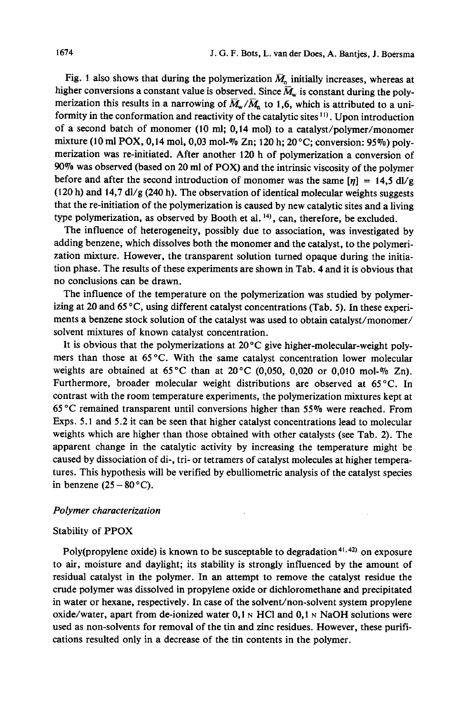Fig. 1 also shows that during the polymerization  $\overline{M}_n$  initially increases, whereas at higher conversions a constant value is observed. Since  $\overline{M}_{w}$  is constant during the polymerization this results in a narrowing of  $\overline{M}_w/\overline{M}_n$  to 1,6, which is attributed to a uniformity in the conformation and reactivity of the catalytic sites <sup>11</sup>. Upon introduction of a second batch of monomer (10 ml; **0,14** mol) to a **catalyst/polymer/monomer**  mixture (10 **ml** POX, **0,14** mol, **0,03** mol-Yo Zn; 120 h; 20°C; conversion: *95%)* polymerization was re-initiated. After another 120 h of polymerization a conversion of 90% was observed (based on 20 ml of POX) and the intrinsic viscosity of the polymer before and after the second introduction of monomer was the same  $[\eta] = 14.5 \text{ dJ/g}$ (120 h) and **14,7** dl/g (240 h). The observation of identical molecular weights suggests that the re-initiation of the polymerization is caused by new catalytic sites and a living type polymerization, as observed by Booth et al. **14),** can, therefore, be excluded.

The influence of heterogeneity, possibly due to association, was investigated by adding benzene, which dissolves both the monomer and the catalyst, to the polymerization mixture. However, the transparent solution turned opaque during the initiation phase. The results of these experiments are shown in Tab. **4** and it is obvious that no conclusions can be drawn.

The influence of the temperature on the polymerization was studied by polymerizing at 20 and 65 °C, using different catalyst concentrations (Tab. 5). In these experiments a benzene stock solution of the catalyst was used to obtain catalyst/monomer/ solvent mixtures of known catalyst concentration.

It is obvious that the polymerizations at 20 **"C** give higher-molecular-weight polymers than those at **65°C.** With the same catalyst concentration lower molecular weights are obtained at **65°C** than at 20°C (0,050, 0,020 or 0,010 mol-% Zn). Furthermore, broader molecular weight distributions are observed at **65 "C.** In contrast with the room temperature experiments, the polymerization mixtures kept at **65** "C remained transparent until conversions higher than *55%* were reached. From Exps. **5.1** and 5.2 it can be seen that higher catalyst concentrations lead to molecular weights which are higher than those obtained with other catalysts (see Tab. 2). The apparent change in the catalytic activity by increasing the temperature might be caused by dissociation of di-, tri- or tetramers of catalyst molecules at higher temperatures. This hypothesis will be verified by ebulliometric analysis of the catalyst species in benzene  $(25 - 80^{\circ}C)$ .

#### Polymer characterization

## Stability of PPOX

Poly(propylene oxide) is known to be susceptable to degradation<sup>41,42</sup> on exposure to air, moisture and daylight; its stability is strongly influenced by the amount of residual catalyst in the polymer. In an attempt to remove the catalyst residue the crude polymer was dissolved in propylene oxide or dichloromethane and precipitated in water or hexane, respectively. In case of the solvent/non-solvent system propylene oxide/water, apart from de-ionized water  $0,1 \text{ N}$  HCl and  $0,1 \text{ N}$  NaOH solutions were used as non-solvents for removal of the tin and zinc residues. However, these purifications resulted only in a decrease of the tin contents in the polymer.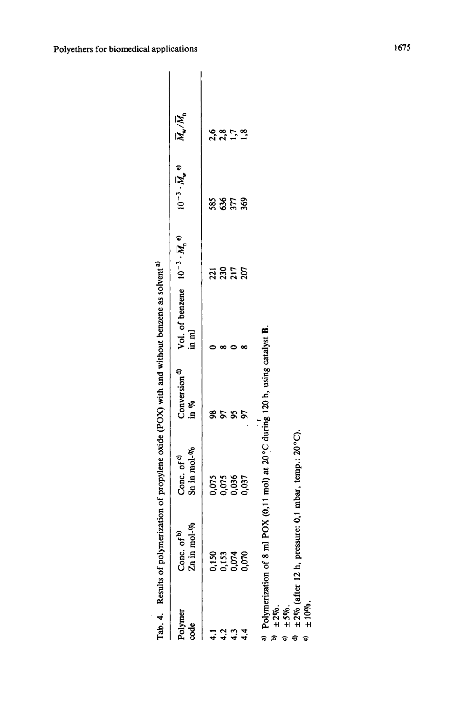|                | Tab. 4. Results of polyme                                     | rization of propylene oxide (POX) with and without benzene as solvent <sup>a)</sup> |                                  |                                                                                   |                                     |                                             |              |
|----------------|---------------------------------------------------------------|-------------------------------------------------------------------------------------|----------------------------------|-----------------------------------------------------------------------------------|-------------------------------------|---------------------------------------------|--------------|
| Polymer<br>ode | ы.<br>1<br>Conc. of $\frac{1}{2}$<br>Zn in mol- $\frac{1}{2}$ | Conc. of $c^0$<br>Sn in mol- $W_0$                                                  | Conversion <sup>d)</sup><br>in % | Vol. of benzene $10^{-3} \cdot \overline{M}_n$ <sup>e)</sup><br>$m \, \mathrm{m}$ | $10^{-3} \cdot \overline{M}_{w}$ e) | $\overline{M}_{\rm w}/\overline{M}_{\rm n}$ | applications |
|                |                                                               |                                                                                     | జ                                |                                                                                   |                                     |                                             |              |
| $\frac{2}{4}$  |                                                               |                                                                                     |                                  |                                                                                   |                                     |                                             |              |
|                |                                                               |                                                                                     | ८४६                              |                                                                                   | និងខ្លួ                             | $28.7$<br>$28.7$                            |              |
|                | 0.153<br>0.153<br>0.000                                       | <b>0.05</b><br>0.05<br>0.05<br>0.05                                                 |                                  |                                                                                   |                                     |                                             |              |

a) Polymerization of 8 ml POX (0,11 mol) at 20°C during 120 h, using catalyst **B**.

**c)** *\*5%.* 

**b)** \*2%. **e)** \*lo%. d)  $\pm 2\%$  (after 12 h, pressure: 0,1 mbar, temp.: 20 $^{\circ}$ C).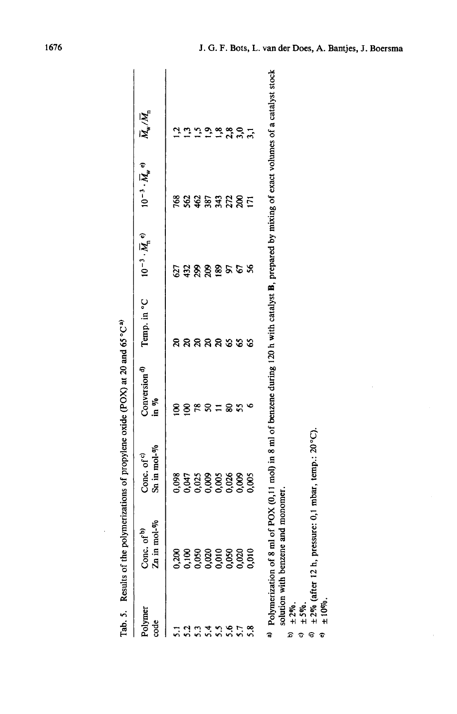|                 | ֖֖֖֚֚֚֚֚֚֚֚֚֚֚֚֚֚֚֚֚֚֚֚֡֝֝<br>֧֝֩֩֕                                                                                                               | .<br>.<br>.                       |                                  |             |                                                                   |                                         |                                             |
|-----------------|---------------------------------------------------------------------------------------------------------------------------------------------------|-----------------------------------|----------------------------------|-------------|-------------------------------------------------------------------|-----------------------------------------|---------------------------------------------|
| Polymer<br>code | Conc. of <sup>b)</sup><br>Zn in mol- $\%$                                                                                                         | Conc. of $c^0$<br>Sn in mol- $\%$ | Conversion <sup>d)</sup><br>in % | Temp. in °C | $10^{-3} \cdot \overline{M}_{\!\scriptscriptstyle \mathrm{D}}$ e) | $10^{-3} \cdot \overline{M}_{\rm w}$ e) | $\overline{M}_{\rm w}/\overline{M}_{\rm n}$ |
|                 |                                                                                                                                                   |                                   |                                  | ສ           |                                                                   |                                         | ٦                                           |
|                 |                                                                                                                                                   |                                   | 8                                |             |                                                                   |                                         |                                             |
|                 |                                                                                                                                                   |                                   | 78                               |             |                                                                   |                                         |                                             |
|                 |                                                                                                                                                   | 88<br>853888888<br>0000000000     | ຂ                                | ននននទទ      | <b>ឯង</b> ខ្លួន ខ                                                 | ខ្លួនមន្តដូន្តទ                         |                                             |
|                 |                                                                                                                                                   |                                   |                                  |             |                                                                   |                                         |                                             |
|                 |                                                                                                                                                   |                                   | င္တ                              |             |                                                                   |                                         | 2.8897                                      |
|                 |                                                                                                                                                   |                                   | S.                               |             |                                                                   |                                         |                                             |
|                 | 0,200<br>0,108,020<br>0,000,020<br>0,000,000,000                                                                                                  |                                   |                                  | ۵Ś          | S.                                                                |                                         |                                             |
|                 | Polymerization of 8 ml of POX (0.11 mol) in 8 ml of benzene during 120 h with catalyst B, prepared by mixing of exact volumes of a catalyst stock |                                   |                                  |             |                                                                   |                                         |                                             |
|                 |                                                                                                                                                   |                                   |                                  |             |                                                                   |                                         |                                             |

| (502)<br>.<br>موجد م<br>ĺ       |
|---------------------------------|
| یہ محمد<br>$\ddot{\phantom{0}}$ |
|                                 |
|                                 |
|                                 |
|                                 |
| È                               |

**a)** Polymerization of 8 ml of POX (0,ll mol) in 8 ml of benzene during 120 h with catalyst B, prepared by mixing of exact volumes of a catalyst stock o ì **b**<br> **b**)  $\pm 2\pi$ ,<br> **b**)  $\pm 2\pi$ ,<br> **c**)  $\pm 2\pi$ ,<br> **c**)  $\pm 2\pi$ ,<br> **d**)  $\pm 2\pi$ ,<br> **d**)  $\pm 2\pi$  (after 12 h, pressure: 0,1 mbar,<br> **e**)  $\pm 2\pi$  (after 12 h, pressure: 0,1 mbar, solution with benzene and monomer.

 $\pm 5\%$ .

 $\theta$   $\pm$  2% (after 12 h, pressure: 0,1 mbar, temp.: 20°C).  $\pm 2\%$  (after 12 h, pressure: 0,1 mbar, temp.: 20°C).<br> $\pm 10\%$ .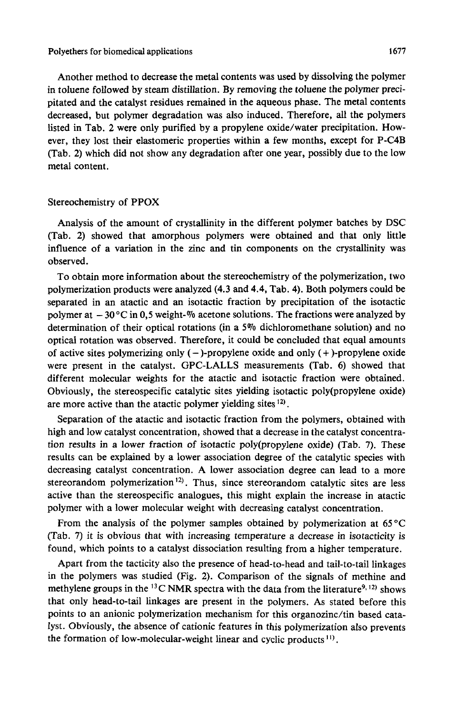#### Polyethers **for** biomedical applications *1611*

Another method to decrease the metal contents was used by dissolving the polymer in toluene followed by steam distillation. By removing the toluene the polymer precipitated and the catalyst residues remained in the aqueous phase. The metal contents decreased, but polymer degradation was also induced. Therefore, all the polymers listed in Tab. **2** were only purified by a propylene oxide/water precipitation. However, they lost their elastomeric properties within a few months, except for P-C4B (Tab. **2)** which did not show any degradation after one year, possibly due to the low metal content.

#### Stereochemistry of **PPOX**

Analysis of the amount of crystallinity in the different polymer batches by DSC (Tab. **2)** showed that amorphous polymers were obtained and that only little influence of a variation in the zinc and tin components on the crystallinity was observed.

To obtain more information about the stereochemistry of the polymerization, two polymerization products were analyzed (4.3 and 4.4, Tab. 4). Both polymers could be separated in an atactic and an isotactic fraction by precipitation of the isotactic polymer at - 30°C in *0,5* weight-% acetone solutions. The fractions were analyzed by determination of their optical rotations (in a 5% dichloromethane solution) and no optical rotation was observed. Therefore, it could be concluded that equal amounts of active sites polymerizing only  $(-)$ -propylene oxide and only  $(+)$ -propylene oxide were present in the catalyst. GPC-LALLS measurements (Tab. *6)* showed that different molecular weights for the atactic and isotactic fraction were obtained. Obviously, the stereospecific catalytic sites yielding isotactic poly(propy1ene oxide) are more active than the atactic polymer yielding sites <sup>12</sup>.

Separation of the atactic and isotactic fraction from the polymers, obtained with high and low catalyst concentration, showed that a decrease in the catalyst concentration results in a lower fraction of isotactic poly(propy1ene oxide) (Tab. **7).** These results can be explained by a lower association degree of the catalytic species with decreasing catalyst concentration. A lower association degree can lead to a more stereorandom polymerization **12).** Thus, since stereorandom catalytic sites are less active than the stereospecific analogues, this might explain the increase in atactic polymer with a lower molecular weight with decreasing catalyst concentration.

From the analysis of the polymer samples obtained by polymerization at *65 "C*  (Tab. **7)** it is obvious that with increasing temperature a decrease in isotacticity is found, which points to a catalyst dissociation resulting from a higher temperature.

Apart from the tacticity also the presence of head-to-head and tail-to-tail linkages in the polymers was studied (Fig. **2).** Comparison of the signals of methine and methylene groups in the <sup>13</sup>C NMR spectra with the data from the literature<sup>9, 12)</sup> shows that only head-to-tail linkages are present in the polymers. As stated before this points to an anionic polymerization mechanism for this organozinc/tin based cata**lyst.** Obviously, the absence of cationic features in this polymerization also prevents the formation of low-molecular-weight linear and cyclic products **I).**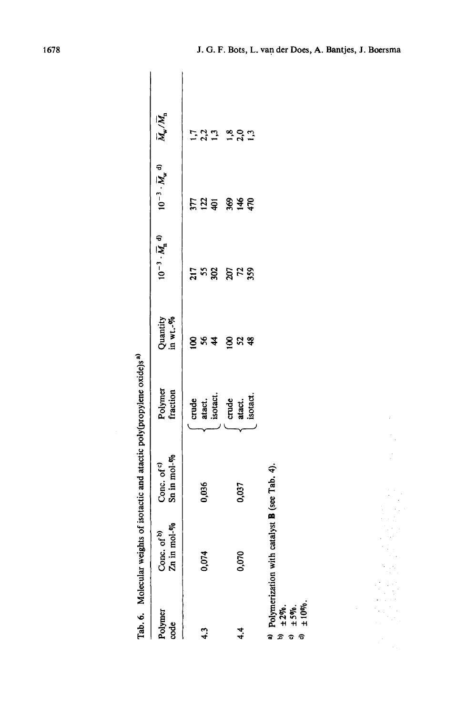| .<br>.<br>.             |
|-------------------------|
|                         |
| ı                       |
|                         |
| ì<br>$\vdots$<br>-<br>[ |

|                                                        |                                              | strains of the company of the company of the company of the company of the company of the company of the company of the company of the company of the company of the company of the company of the company of the company of t |                             |                      |          |                                                                                                                                              |                     |  |
|--------------------------------------------------------|----------------------------------------------|--------------------------------------------------------------------------------------------------------------------------------------------------------------------------------------------------------------------------------|-----------------------------|----------------------|----------|----------------------------------------------------------------------------------------------------------------------------------------------|---------------------|--|
| Polymer<br>code                                        | Conc. of $\frac{dy}{dx}$<br>Zn in mol- $\%$  | Conc. of $\circ$<br>Sn in mol- $\%$                                                                                                                                                                                            | Polymer<br>fraction         | Quantity<br>in wt.-% |          | $10^{-3} \cdot \overline{M}_{n}^{d}$ <sup>d)</sup> $10^{-3} \cdot \overline{M}_{w}^{d}$ <sup>d</sup> ) $\overline{M}_{w} / \overline{M}_{n}$ |                     |  |
| 4.3                                                    | 0,074                                        | 0,036                                                                                                                                                                                                                          | atact.<br>isotact.<br>crude | 584<br><u>ខ</u>      | វីដង     | អង្គ                                                                                                                                         | 2,2<br>$\mathbf{r}$ |  |
| 4.4                                                    | 0,070                                        | 0,037                                                                                                                                                                                                                          | crude<br>atact.<br>isotact. | 52<br>8              | ង្គ ដង្ហ | 369<br>$\frac{48}{3}$                                                                                                                        | 2, 2, 1, 2          |  |
| $±2\%$ .<br>$±5\%$ .<br>$±10\%$ .<br>କ<br>G<br>đ,<br>Ð | Polymerization with catalyst B (see Tab. 4). |                                                                                                                                                                                                                                |                             |                      |          |                                                                                                                                              |                     |  |

 $\mathcal{I}_\alpha$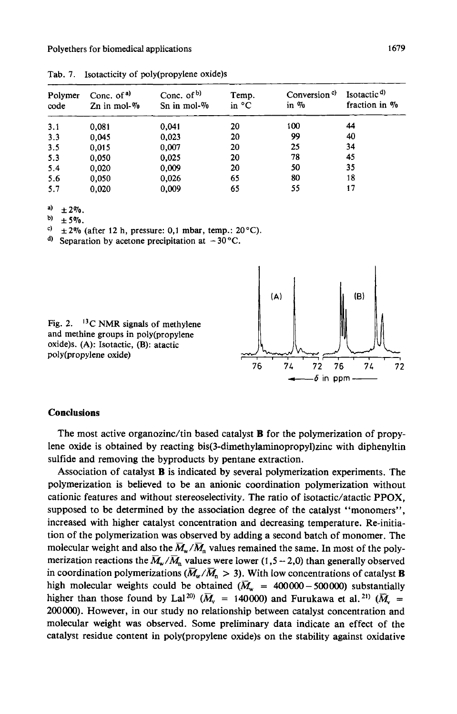| Polymer<br>code | Conc. of $a)$<br>Zn in mol- $\%$ | Conc. of $b$ )<br>Sn in mol- $\%$ | Temp.<br>in $^{\circ}$ C | Conversion <sup>c)</sup><br>in $\%$ | Isotactic <sup>d</sup><br>fraction in % |
|-----------------|----------------------------------|-----------------------------------|--------------------------|-------------------------------------|-----------------------------------------|
| 3.1             | 0,081                            | 0.041                             | 20                       | 100                                 | 44                                      |
| 3.3             | 0,045                            | 0.023                             | 20                       | 99                                  | 40                                      |
| 3.5             | 0,015                            | 0,007                             | 20                       | 25                                  | 34                                      |
| 5.3             | 0,050                            | 0.025                             | 20                       | 78                                  | 45                                      |
| 5.4             | 0,020                            | 0,009                             | 20                       | 50                                  | 35                                      |
| 5.6             | 0,050                            | 0,026                             | 65                       | 80                                  | 18                                      |
| 5.7             | 0.020                            | 0,009                             | 65                       | 55                                  | 17                                      |

**Tab. 7. Isotacticity of poly(propy1ene oxide)s** 

**a)**  $\pm 2\%$ .<br> **b)**  $\pm 5\%$ .

 $\begin{array}{cc} 6 & \pm 5\% \\ 2 & +2\% \end{array}$ 

*c,* **i2qo (after 12 h, pressure: 0,1 mbar, temp.: 20'C).** 

<sup>d)</sup> Separation by acetone precipitation at  $-30^{\circ}$ C.

Fig. 2. <sup>13</sup>C NMR signals of methylene **and methine groups in poly(propy1ene oxide)s. (A): Isotactic, (B): atactic poly(propy1ene oxide)** 



# **Conclusions**

The most active organozinc/tin based catalyst **B** for the polymerization of propylene oxide is obtained by reacting **bis(3-dimethylaminopropyl)zinc** with diphenyltin sulfide and removing the byproducts by pentane extraction.

Association of catalyst **B** is indicated by several polymerization experiments. The polymerization is believed to be an anionic coordination polymerization without cationic features and without stereoselectivity. The ratio of isotactic/atactic PPOX, supposed to be determined by the association degree of the catalyst "monomers", increased with higher catalyst concentration and decreasing temperature. Re-initiation of the polymerization was observed by adding a second batch of monomer. The molecular weight and also the  $M_w/M_n$  values remained the same. In most of the polymerization reactions the  $\overline{M}_{w}/\overline{M}_{n}$  values were lower (1,5 – 2,0) than generally observed in coordination polymerizations ( $\overline{M}_w/\overline{M}_n > 3$ ). With low concentrations of catalyst **B** high molecular weights could be obtained  $(\overline{M}_{w} = 400000 - 500000)$  substantially higher than those found by Lal<sup>20)</sup> ( $\overline{M}_{v}$  = 140000) and Furukawa et al.<sup>21)</sup> ( $\overline{M}_{v}$  = **200000).** However, in our study no relationship between catalyst concentration and molecular weight was observed. Some preliminary data indicate **an** effect of the catalyst residue content in poly(propylene oxide)s on the stability against oxidative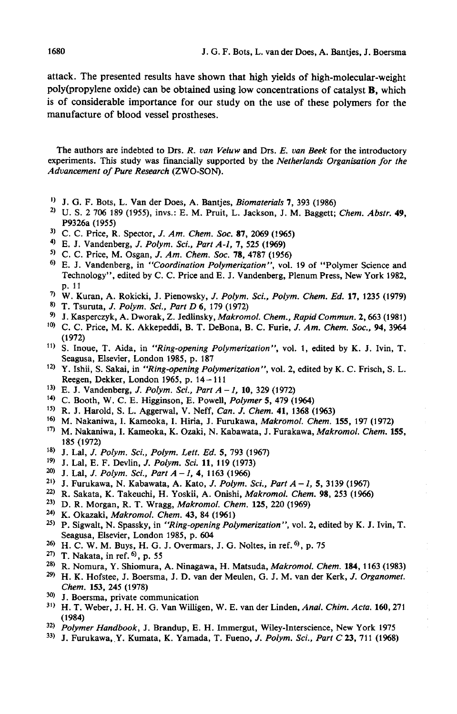attack. The presented results have shown that high yields of high-molecular-weight poly(propy1ene oxide) can be obtained using low concentrations of catalyst **B,** which is of considerable importance for our study on the use of these polymers for the manufacture of blood vessel prostheses.

The authors are indebted to Drs. *R. van Veluw* and Drs. *E. van Beek* for the introductory experiments. This study was financially supported by the *Netherlands Organisation for the Advancement of Pure Research* (ZWO-SON).

- ') **J.** G. F. Bots, L. Van der Does, A. Bantjes, *Biomaterials* **7, 393 (1986)**
- 'I **U. S. 2 706 189 (1955),** invs.: **E.** M. Pruit, L. Jackson, J. M. Baggett; *Chem. Abstr.* **49, P9326a (1955)**
- ') C. C. Price, R. Spector, *J. Am. Chem. SOC.* **87, 2069 (1%5)**
- **4,** E. **J.** Vandenberg, J. *Polym. Sci., Part A-I,* **7, 525 (1%9)**
- ') **C. C.** Price, M. Osgan, J. *Am. Chem. SOC.* **78, 4787 (1956)**
- ') **E.** J. Vandenberg, in *"Coordination Polymerization",* vol. **19** of "Polymer Science and Technology", edited by C. C. Price and E. **J.** Vandenberg, Plenum Press, New York **1982,**  p. **11**
- **W.** Kuran, A. Rokicki, J. Pienowsky, *J. Polym. Sci., Polym. Chem. Ed.* **17, 1235 (1979)**
- T. Tsuruta, J. *Polym. Sci., Part D 6,* **179 (1972)**
- *9,* **J.** Kasperczyk, A. Dworak, *2.* Jedlinsky, *Makromol. Chem., Rapid Commun.* **2,663 (1981)**
- lo) C. C. Price, M. K. Akkepeddi, B. T. DeBona, B. C. Furie, J. *Am. Chem. Soc.,* **94, <sup>3964</sup> (1972)**
- **S.** Inoue, T. Aida, in *"Ring-opening Polymerization",* vol. **1,** edited by K. **J.** Ivin, T. Seagusa, Elsevier, London **1985,** p. **187**
- ') Y. Ishii, S. Sakai, in *"Ring-opening Polymerization",* vol. **2,** edited by K. C. Frisch, S. L. Reegen, Dekker, London **1965,** p. **14- 11 1**
- **13) E. J.** Vandenberg, *J. Polym. Sci., Part A -1,* **10, 329 (1972)**
- **14) C.** Booth, W. C. E. Higginson, E. Powell, *Polymer* **5, 479 (1964)**
- **Is)** R. **J.** Harold, S. L. Aggenval, V. Neff, *Can. J. Chem.* **41, 1368 (1%3)**
- la) M. Nakaniwa, I. Kameoka, I. Hiria, J. Furukawa, *Makromol. Chem.* **155, 197 (1972)**
- **'7)** M. Nakaniwa, I. Kameoka, K. Ozaki, N. Kabawata, J. Furakawa, *Makromol. Chem.* **155, 185 (1972)**
- <sup>18)</sup> J. Lal, *J. Polym. Sci., Polym. Lett. Ed.* 5, 793 (1967) <sup>19</sup>) I I al F F Devlin *I Polym Sci* 11 119 (1973)
- '') **J.** Lal, E. F. Devlin, *J. Polym. Sci.* **11, 119 (1973)**
- **J.** Lal, *J. Polym. Sci., PartA-I,* **4, 1163 (1966)**
- '') **J.** Furukawa, N. Kabawata, A. Kato, *J. Polym. Sci., Part A- I,* **5, 3139 (1%7)**
- ") R. Sakata, K. Takeuchi, H. Yoskii, A. Onishi, *Makromol. Chem.* **98, 253 (1966)**
- **23)** D. R. Morgan, R. T. Wragg, *Makrornol. Chem.* **125, 220 (1969)**
- *24)* K. Okazaki, *Makromol. Chem.* **43, 84 (1961)**
- *W* P. Sigwalt, N. Spassky, in *'Ring-opening Polymerization",* vol. **2,** edited by K. **J.** Ivin, T. Seagusa, Elsevier, London **1985,** p. **604**
- **H.** C. W. M. Buys, H. G. J. Overmars, **J.** G. Noltes, in ref.6), p. **75**
- '') T. Nakata, in ref. '), p. *55*
- R. Nomura, Y. Shiomura, A. Ninagawa, H. Matsuda, *Makromol. Chem.* **184, 1163 (1983)**
- *29)* **H.** K. Hofstee, J. Boersma, **J.** D. van der Meulen, G. **J.** M. van der Kerk, J. *Organomet. Chem.* **153, 245 (1978)**
- **30) J.** Boersma, private communication
- **3')** H. T. Weber, J. H. H. G. Van Willigen, W. E. van der Linden, *Anal. Chim. Acta.* **160,271 (1 984)**
- **32)** *Polymer Handbook,* J. Brandup, E. H. Immergut, Wiley-Interscience, New York **1975**
- **33) J.** Furukawa, Y. Kumata, **K.** Yamada, T. Fueno, *J. Polym. Sci., Part C* **23, 71 1 (1968)**